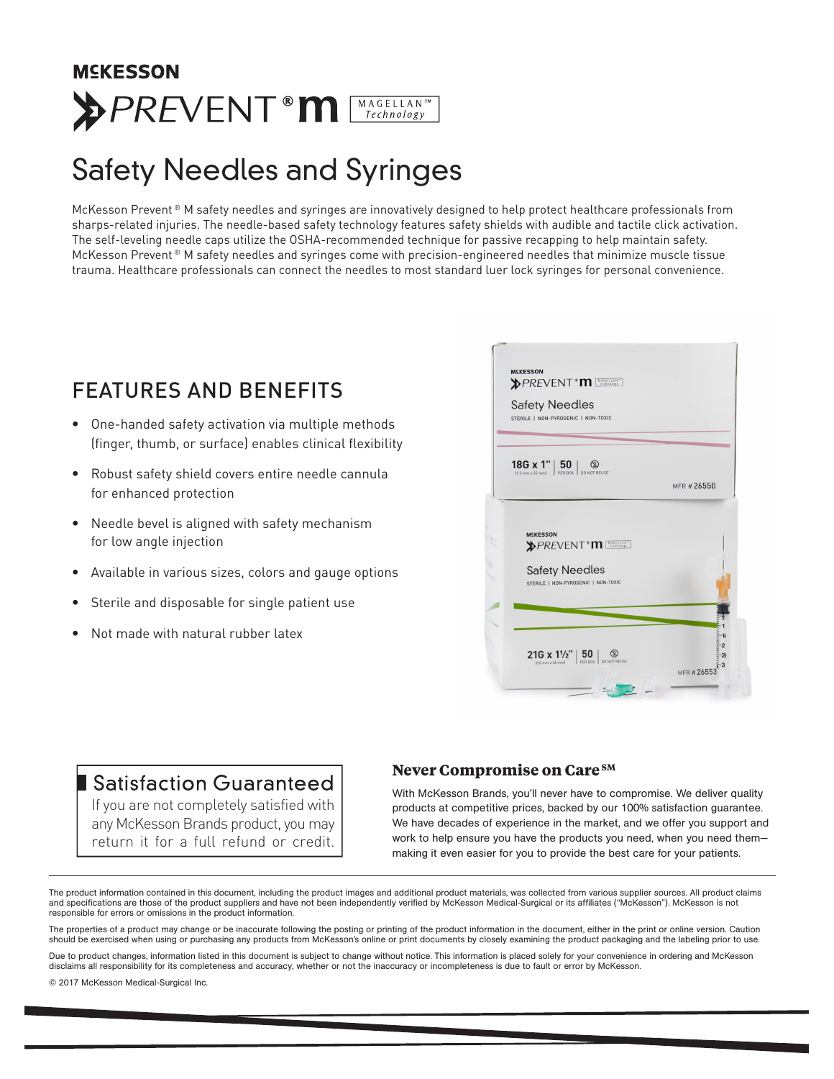## **MCKESSON >PREVENT m** MAGELLAN

## Safety Needles and Syringes

McKesson Prevent ® M safety needles and syringes are innovatively designed to help protect healthcare professionals from sharps-related injuries. The needle-based safety technology features safety shields with audible and tactile click activation. The self-leveling needle caps utilize the OSHA-recommended technique for passive recapping to help maintain safety. McKesson Prevent ® M safety needles and syringes come with precision-engineered needles that minimize muscle tissue trauma. Healthcare professionals can connect the needles to most standard luer lock syringes for personal convenience.

### FEATURES AND BENEFITS

- One-handed safety activation via multiple methods (finger, thumb, or surface) enables clinical flexibility
- Robust safety shield covers entire needle cannula for enhanced protection
- Needle bevel is aligned with safety mechanism for low angle injection
- Available in various sizes, colors and gauge options
- Sterile and disposable for single patient use
- Not made with natural rubber latex



#### **Satisfaction Guaranteed**

If you are not completely satisfied with any McKesson Brands product, you may return it for a full refund or credit.

#### **Never Compromise on Care SM**

With McKesson Brands, you'll never have to compromise. We deliver quality products at competitive prices, backed by our 100% satisfaction guarantee. We have decades of experience in the market, and we offer you support and work to help ensure you have the products you need, when you need them making it even easier for you to provide the best care for your patients.

The product information contained in this document, including the product images and additional product materials, was collected from various supplier sources. All product claims and specifications are those of the product suppliers and have not been independently verified by McKesson Medical-Surgical or its affiliates ("McKesson"). McKesson is not responsible for errors or omissions in the product information.

The properties of a product may change or be inaccurate following the posting or printing of the product information in the document, either in the print or online version. Caution should be exercised when using or purchasing any products from McKesson's online or print documents by closely examining the product packaging and the labeling prior to use.

Due to product changes, information listed in this document is subject to change without notice. This information is placed solely for your convenience in ordering and McKesson disclaims all responsibility for its completeness and accuracy, whether or not the inaccuracy or incompleteness is due to fault or error by McKesson.

© 2017 McKesson Medical-Surgical Inc.